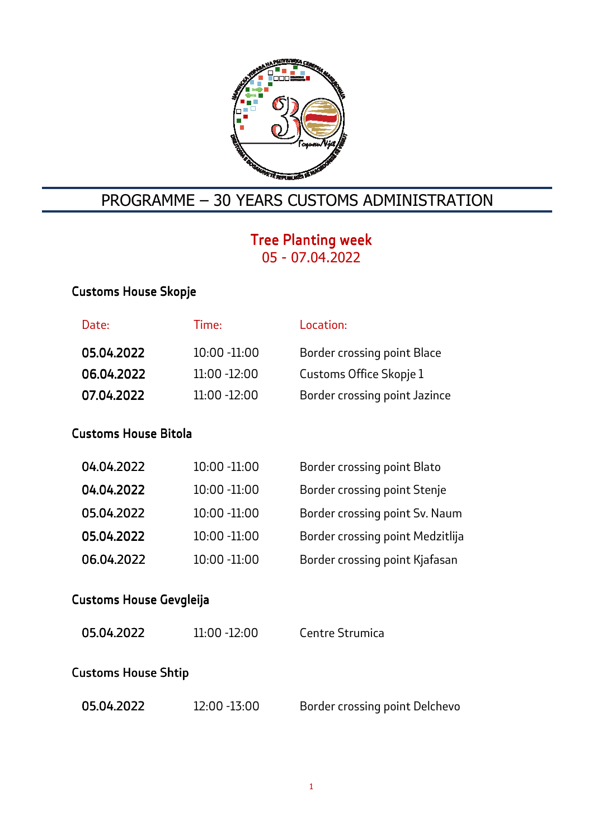

## PROGRAMME – 30 YEARS CUSTOMS ADMINISTRATION

## Tree Planting week 05 - 07.04.2022

## Customs House Skopje

| Date:                | Time:           | Location:                          |  |  |
|----------------------|-----------------|------------------------------------|--|--|
| 05.04.2022           | $10:00 - 11:00$ | <b>Border crossing point Blace</b> |  |  |
| 06.04.2022           | 11:00 -12:00    | Customs Office Skopje 1            |  |  |
| 07.04.2022           | $11:00 - 12:00$ | Border crossing point Jazince      |  |  |
| Customs House Bitola |                 |                                    |  |  |
| 04.04.2022           | $10:00 - 11:00$ | <b>Border crossing point Blato</b> |  |  |
| 04.04.2022           | $10:00 - 11:00$ | Border crossing point Stenje       |  |  |
| 05.04.2022           | $10:00 - 11:00$ | Border crossing point Sv. Naum     |  |  |
|                      |                 |                                    |  |  |

05.04.2022 05.04.2022 10:00 -11:00 Border crossing point Medzitlija

06.04.2022 10:00 -11:00 Border crossing point Kjafasan

# Customs House Gevgleija

| 05.04.2022          | $11:00 - 12:00$ | Centre Strumica                |  |  |  |
|---------------------|-----------------|--------------------------------|--|--|--|
| Customs House Shtip |                 |                                |  |  |  |
| 05.04.2022          | 12:00 -13:00    | Border crossing point Delchevo |  |  |  |